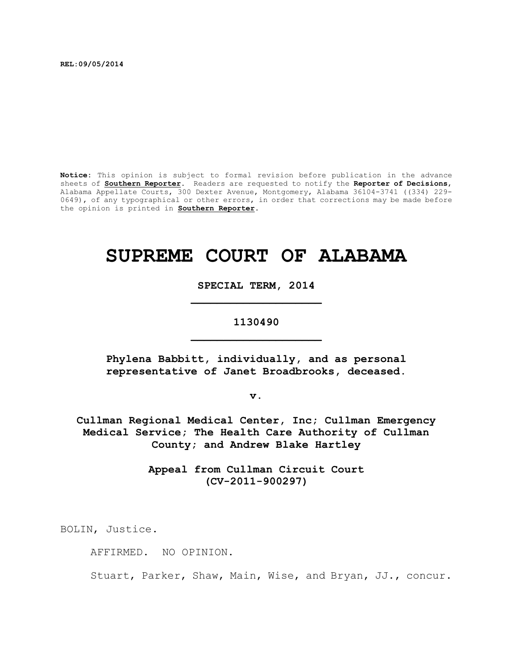**REL:09/05/2014**

**Notice:** This opinion is subject to formal revision before publication in the advance sheets of **Southern Reporter**. Readers are requested to notify the **Reporter of Decisions**, Alabama Appellate Courts, 300 Dexter Avenue, Montgomery, Alabama 36104-3741 ((334) 229- 0649), of any typographical or other errors, in order that corrections may be made before the opinion is printed in **Southern Reporter**.

# **SUPREME COURT OF ALABAMA**

**SPECIAL TERM, 2014 \_\_\_\_\_\_\_\_\_\_\_\_\_\_\_\_\_\_\_\_**

## **1130490 \_\_\_\_\_\_\_\_\_\_\_\_\_\_\_\_\_\_\_\_**

**Phylena Babbitt, individually, and as personal representative of Janet Broadbrooks, deceased.**

**v.**

**Cullman Regional Medical Center, Inc; Cullman Emergency Medical Service; The Health Care Authority of Cullman County; and Andrew Blake Hartley**

> **Appeal from Cullman Circuit Court (CV-2011-900297)**

BOLIN, Justice.

AFFIRMED. NO OPINION.

Stuart, Parker, Shaw, Main, Wise, and Bryan, JJ., concur.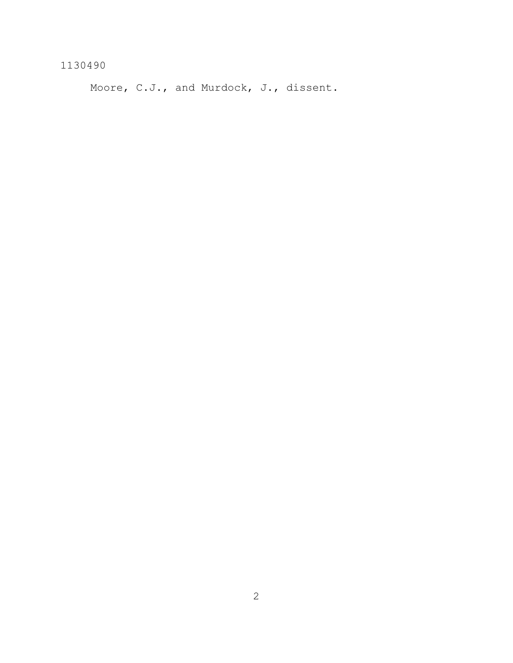Moore, C.J., and Murdock, J., dissent.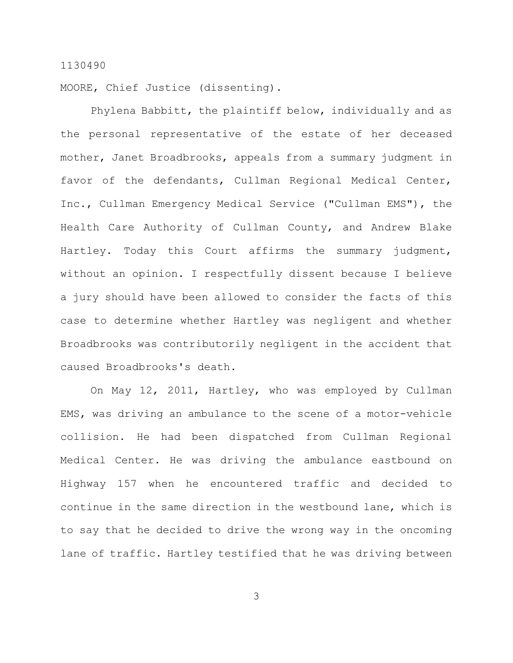MOORE, Chief Justice (dissenting).

Phylena Babbitt, the plaintiff below, individually and as the personal representative of the estate of her deceased mother, Janet Broadbrooks, appeals from a summary judgment in favor of the defendants, Cullman Regional Medical Center, Inc., Cullman Emergency Medical Service ("Cullman EMS"), the Health Care Authority of Cullman County, and Andrew Blake Hartley. Today this Court affirms the summary judgment, without an opinion. I respectfully dissent because I believe a jury should have been allowed to consider the facts of this case to determine whether Hartley was negligent and whether Broadbrooks was contributorily negligent in the accident that caused Broadbrooks's death.

On May 12, 2011, Hartley, who was employed by Cullman EMS, was driving an ambulance to the scene of a motor-vehicle collision. He had been dispatched from Cullman Regional Medical Center. He was driving the ambulance eastbound on Highway 157 when he encountered traffic and decided to continue in the same direction in the westbound lane, which is to say that he decided to drive the wrong way in the oncoming lane of traffic. Hartley testified that he was driving between

3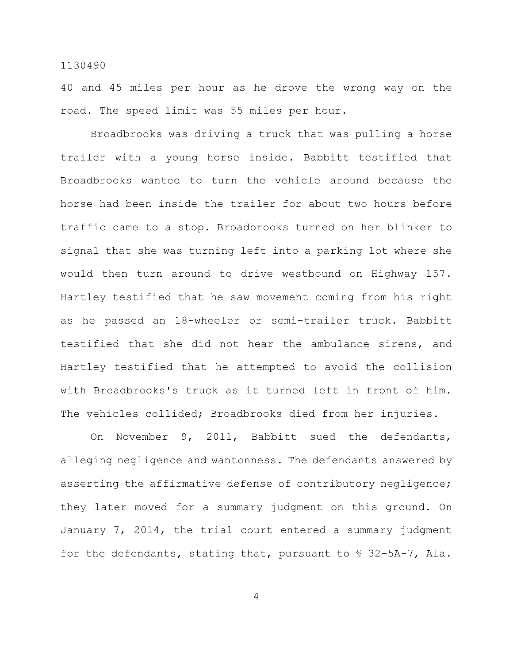40 and 45 miles per hour as he drove the wrong way on the road. The speed limit was 55 miles per hour.

Broadbrooks was driving a truck that was pulling a horse trailer with a young horse inside. Babbitt testified that Broadbrooks wanted to turn the vehicle around because the horse had been inside the trailer for about two hours before traffic came to a stop. Broadbrooks turned on her blinker to signal that she was turning left into a parking lot where she would then turn around to drive westbound on Highway 157. Hartley testified that he saw movement coming from his right as he passed an 18-wheeler or semi-trailer truck. Babbitt testified that she did not hear the ambulance sirens, and Hartley testified that he attempted to avoid the collision with Broadbrooks's truck as it turned left in front of him. The vehicles collided; Broadbrooks died from her injuries.

On November 9, 2011, Babbitt sued the defendants, alleging negligence and wantonness. The defendants answered by asserting the affirmative defense of contributory negligence; they later moved for a summary judgment on this ground. On January 7, 2014, the trial court entered a summary judgment for the defendants, stating that, pursuant to  $\frac{1}{5}$  32-5A-7, Ala.

4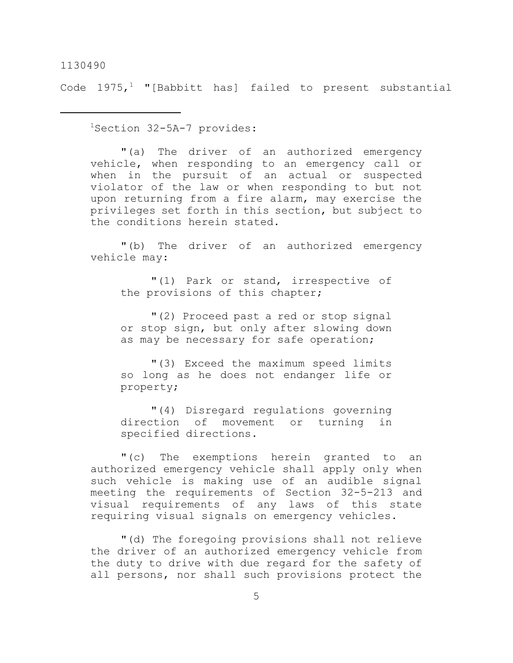Code  $1975,$ <sup>1</sup> "[Babbitt has] failed to present substantial

<sup>1</sup>Section 32-5A-7 provides:

"(a) The driver of an authorized emergency vehicle, when responding to an emergency call or when in the pursuit of an actual or suspected violator of the law or when responding to but not upon returning from a fire alarm, may exercise the privileges set forth in this section, but subject to the conditions herein stated.

"(b) The driver of an authorized emergency vehicle may:

"(1) Park or stand, irrespective of the provisions of this chapter;

"(2) Proceed past a red or stop signal or stop sign, but only after slowing down as may be necessary for safe operation;

"(3) Exceed the maximum speed limits so long as he does not endanger life or property;

"(4) Disregard regulations governing direction of movement or turning in specified directions.

"(c) The exemptions herein granted to an authorized emergency vehicle shall apply only when such vehicle is making use of an audible signal meeting the requirements of Section 32-5-213 and visual requirements of any laws of this state requiring visual signals on emergency vehicles.

"(d) The foregoing provisions shall not relieve the driver of an authorized emergency vehicle from the duty to drive with due regard for the safety of all persons, nor shall such provisions protect the